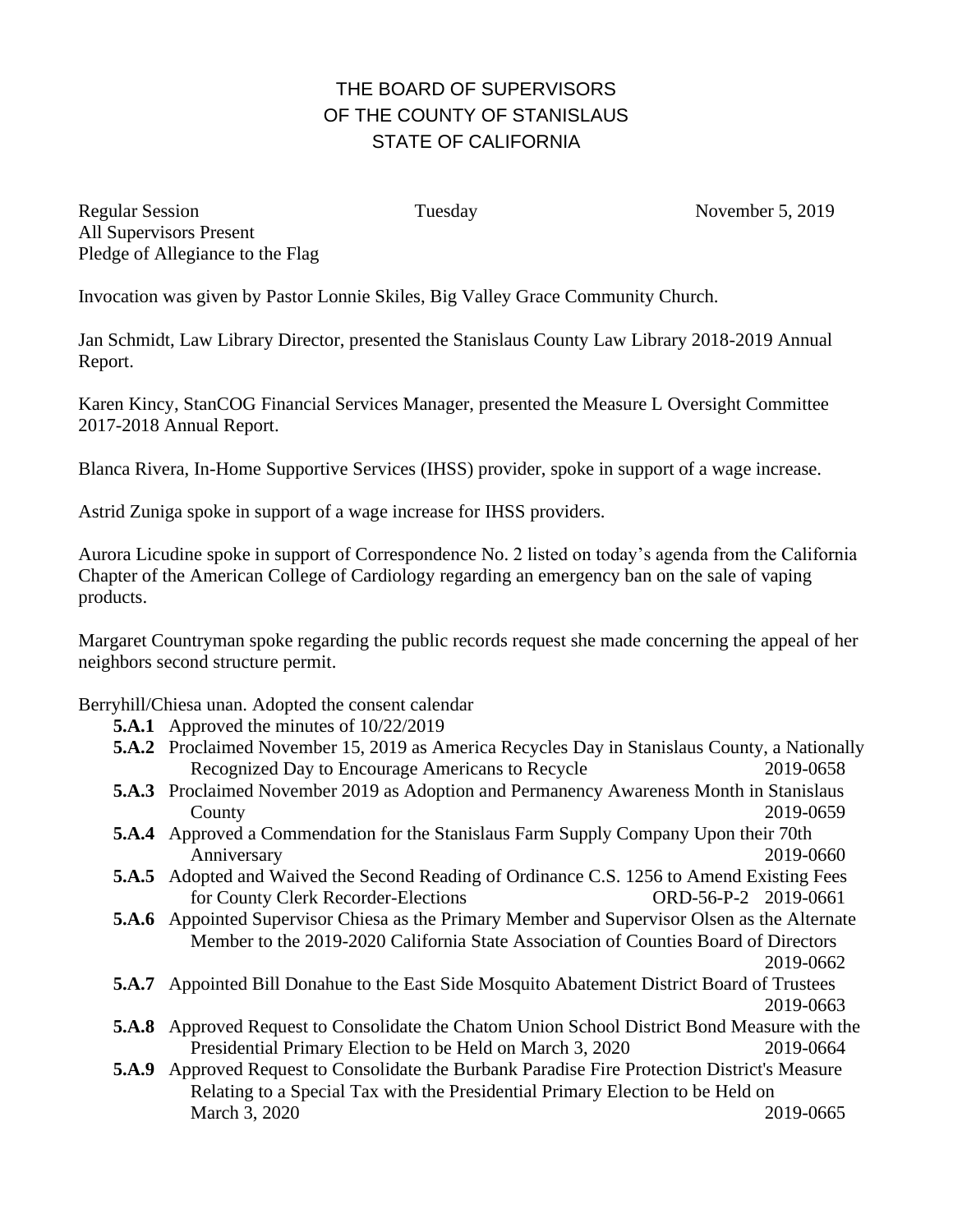## THE BOARD OF SUPERVISORS OF THE COUNTY OF STANISLAUS STATE OF CALIFORNIA

Regular Session Tuesday Tuesday November 5, 2019 All Supervisors Present Pledge of Allegiance to the Flag

Invocation was given by Pastor Lonnie Skiles, Big Valley Grace Community Church.

Jan Schmidt, Law Library Director, presented the Stanislaus County Law Library 2018-2019 Annual Report.

Karen Kincy, StanCOG Financial Services Manager, presented the Measure L Oversight Committee 2017-2018 Annual Report.

Blanca Rivera, In-Home Supportive Services (IHSS) provider, spoke in support of a wage increase.

Astrid Zuniga spoke in support of a wage increase for IHSS providers.

Aurora Licudine spoke in support of Correspondence No. 2 listed on today's agenda from the California Chapter of the American College of Cardiology regarding an emergency ban on the sale of vaping products.

Margaret Countryman spoke regarding the public records request she made concerning the appeal of her neighbors second structure permit.

Berryhill/Chiesa unan. Adopted the consent calendar

- **5.A.1** Approved the minutes of 10/22/2019
- **5.A.2** Proclaimed November 15, 2019 as America Recycles Day in Stanislaus County, a Nationally Recognized Day to Encourage Americans to Recycle 2019-0658
- **5.A.3** Proclaimed November 2019 as Adoption and Permanency Awareness Month in Stanislaus County 2019-0659
- **5.A.4** Approved a Commendation for the Stanislaus Farm Supply Company Upon their 70th Anniversary 2019-0660
- **5.A.5** Adopted and Waived the Second Reading of Ordinance C.S. 1256 to Amend Existing Fees for County Clerk Recorder-Elections ORD-56-P-2 2019-0661
- **5.A.6** Appointed Supervisor Chiesa as the Primary Member and Supervisor Olsen as the Alternate Member to the 2019-2020 California State Association of Counties Board of Directors 2019-0662
- **5.A.7** Appointed Bill Donahue to the East Side Mosquito Abatement District Board of Trustees 2019-0663
- **5.A.8** Approved Request to Consolidate the Chatom Union School District Bond Measure with the Presidential Primary Election to be Held on March 3, 2020 2019-0664
- **5.A.9** Approved Request to Consolidate the Burbank Paradise Fire Protection District's Measure Relating to a Special Tax with the Presidential Primary Election to be Held on March 3, 2020 2019-0665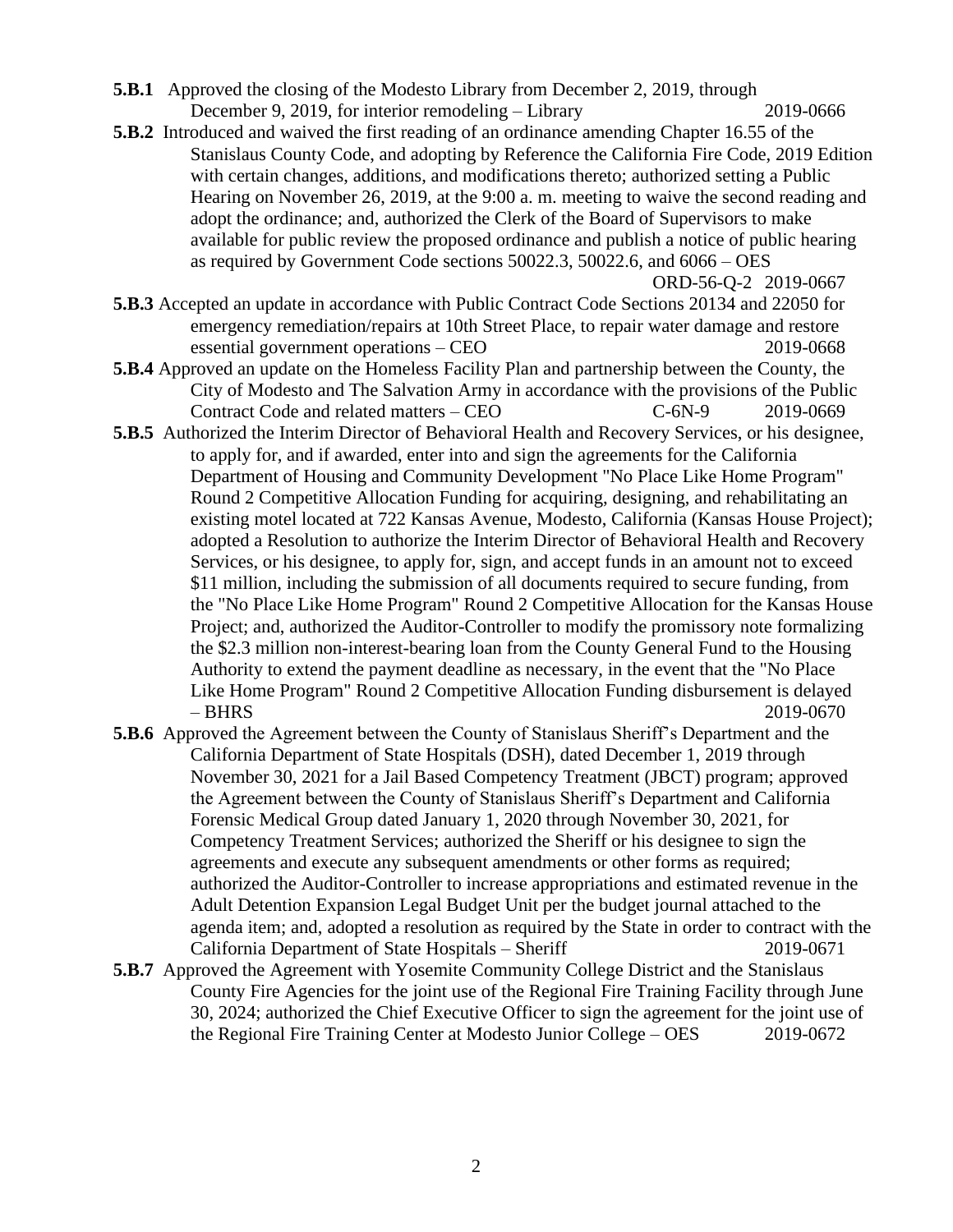- **5.B.1** Approved the closing of the Modesto Library from December 2, 2019, through December 9, 2019, for interior remodeling – Library 2019-0666
- **5.B.2** Introduced and waived the first reading of an ordinance amending Chapter 16.55 of the Stanislaus County Code, and adopting by Reference the California Fire Code, 2019 Edition with certain changes, additions, and modifications thereto; authorized setting a Public Hearing on November 26, 2019, at the 9:00 a. m. meeting to waive the second reading and adopt the ordinance; and, authorized the Clerk of the Board of Supervisors to make available for public review the proposed ordinance and publish a notice of public hearing as required by Government Code sections 50022.3, 50022.6, and 6066 – OES

ORD-56-Q-2 2019-0667

- **5.B.3** Accepted an update in accordance with Public Contract Code Sections 20134 and 22050 for emergency remediation/repairs at 10th Street Place, to repair water damage and restore essential government operations – CEO 2019-0668
- **5.B.4** Approved an update on the Homeless Facility Plan and partnership between the County, the City of Modesto and The Salvation Army in accordance with the provisions of the Public Contract Code and related matters – CEO C-6N-9 2019-0669
- **5.B.5** Authorized the Interim Director of Behavioral Health and Recovery Services, or his designee, to apply for, and if awarded, enter into and sign the agreements for the California Department of Housing and Community Development "No Place Like Home Program" Round 2 Competitive Allocation Funding for acquiring, designing, and rehabilitating an existing motel located at 722 Kansas Avenue, Modesto, California (Kansas House Project); adopted a Resolution to authorize the Interim Director of Behavioral Health and Recovery Services, or his designee, to apply for, sign, and accept funds in an amount not to exceed \$11 million, including the submission of all documents required to secure funding, from the "No Place Like Home Program" Round 2 Competitive Allocation for the Kansas House Project; and, authorized the Auditor-Controller to modify the promissory note formalizing the \$2.3 million non-interest-bearing loan from the County General Fund to the Housing Authority to extend the payment deadline as necessary, in the event that the "No Place Like Home Program" Round 2 Competitive Allocation Funding disbursement is delayed – BHRS 2019-0670
- **5.B.6** Approved the Agreement between the County of Stanislaus Sheriff's Department and the California Department of State Hospitals (DSH), dated December 1, 2019 through November 30, 2021 for a Jail Based Competency Treatment (JBCT) program; approved the Agreement between the County of Stanislaus Sheriff's Department and California Forensic Medical Group dated January 1, 2020 through November 30, 2021, for Competency Treatment Services; authorized the Sheriff or his designee to sign the agreements and execute any subsequent amendments or other forms as required; authorized the Auditor-Controller to increase appropriations and estimated revenue in the Adult Detention Expansion Legal Budget Unit per the budget journal attached to the agenda item; and, adopted a resolution as required by the State in order to contract with the California Department of State Hospitals – Sheriff 2019-0671
- **5.B.7** Approved the Agreement with Yosemite Community College District and the Stanislaus County Fire Agencies for the joint use of the Regional Fire Training Facility through June 30, 2024; authorized the Chief Executive Officer to sign the agreement for the joint use of the Regional Fire Training Center at Modesto Junior College – OES 2019-0672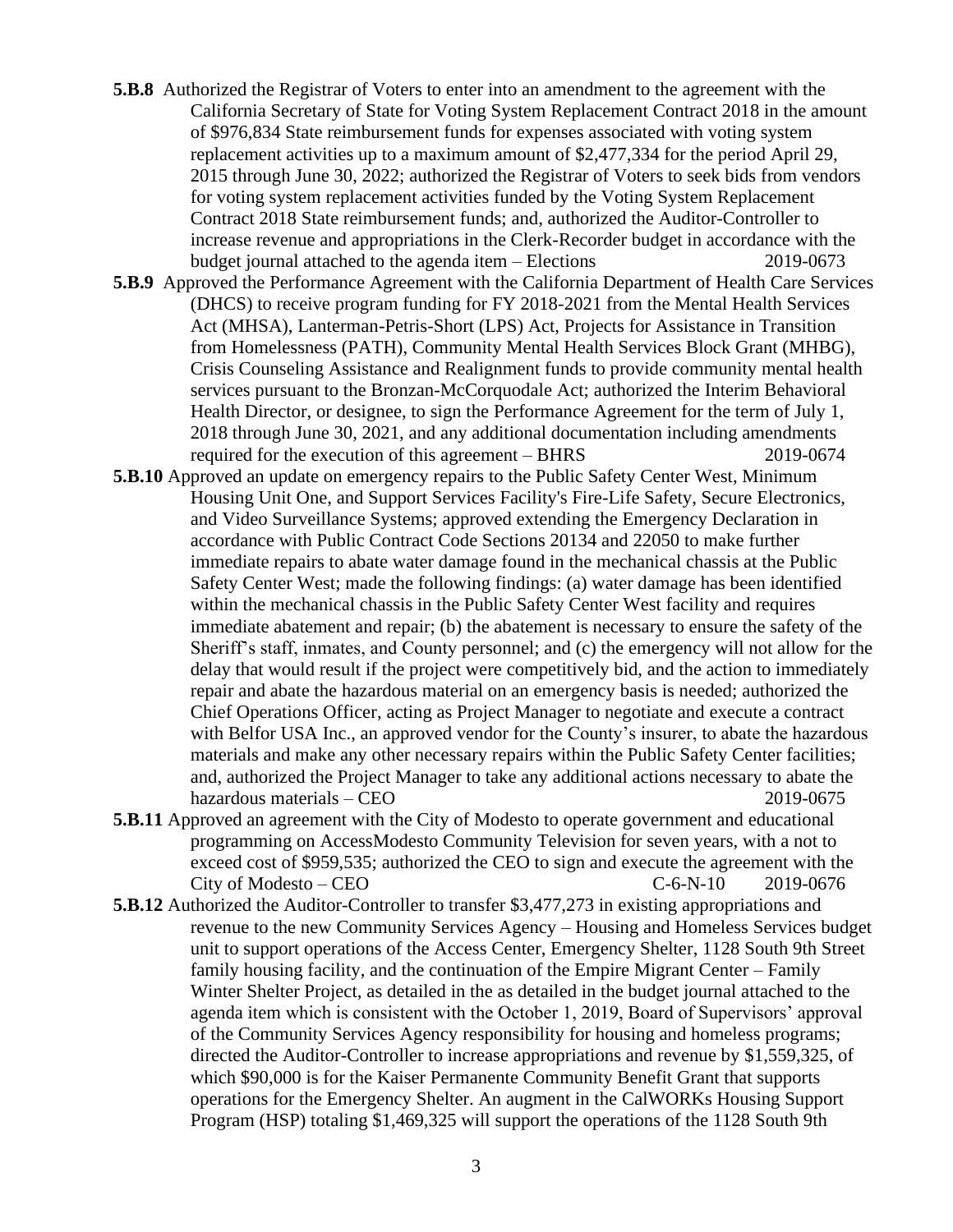- **5.B.8** Authorized the Registrar of Voters to enter into an amendment to the agreement with the California Secretary of State for Voting System Replacement Contract 2018 in the amount of \$976,834 State reimbursement funds for expenses associated with voting system replacement activities up to a maximum amount of \$2,477,334 for the period April 29, 2015 through June 30, 2022; authorized the Registrar of Voters to seek bids from vendors for voting system replacement activities funded by the Voting System Replacement Contract 2018 State reimbursement funds; and, authorized the Auditor-Controller to increase revenue and appropriations in the Clerk-Recorder budget in accordance with the budget journal attached to the agenda item – Elections 2019-0673
- **5.B.9** Approved the Performance Agreement with the California Department of Health Care Services (DHCS) to receive program funding for FY 2018-2021 from the Mental Health Services Act (MHSA), Lanterman-Petris-Short (LPS) Act, Projects for Assistance in Transition from Homelessness (PATH), Community Mental Health Services Block Grant (MHBG), Crisis Counseling Assistance and Realignment funds to provide community mental health services pursuant to the Bronzan-McCorquodale Act; authorized the Interim Behavioral Health Director, or designee, to sign the Performance Agreement for the term of July 1, 2018 through June 30, 2021, and any additional documentation including amendments required for the execution of this agreement – BHRS 2019-0674
- **5.B.10** Approved an update on emergency repairs to the Public Safety Center West, Minimum Housing Unit One, and Support Services Facility's Fire-Life Safety, Secure Electronics, and Video Surveillance Systems; approved extending the Emergency Declaration in accordance with Public Contract Code Sections 20134 and 22050 to make further immediate repairs to abate water damage found in the mechanical chassis at the Public Safety Center West; made the following findings: (a) water damage has been identified within the mechanical chassis in the Public Safety Center West facility and requires immediate abatement and repair; (b) the abatement is necessary to ensure the safety of the Sheriff's staff, inmates, and County personnel; and (c) the emergency will not allow for the delay that would result if the project were competitively bid, and the action to immediately repair and abate the hazardous material on an emergency basis is needed; authorized the Chief Operations Officer, acting as Project Manager to negotiate and execute a contract with Belfor USA Inc., an approved vendor for the County's insurer, to abate the hazardous materials and make any other necessary repairs within the Public Safety Center facilities; and, authorized the Project Manager to take any additional actions necessary to abate the hazardous materials – CEO 2019-0675
- **5.B.11** Approved an agreement with the City of Modesto to operate government and educational programming on AccessModesto Community Television for seven years, with a not to exceed cost of \$959,535; authorized the CEO to sign and execute the agreement with the  $City of Modesto - CEO$   $C-6-N-10$   $2019-0676$
- **5.B.12** Authorized the Auditor-Controller to transfer \$3,477,273 in existing appropriations and revenue to the new Community Services Agency – Housing and Homeless Services budget unit to support operations of the Access Center, Emergency Shelter, 1128 South 9th Street family housing facility, and the continuation of the Empire Migrant Center – Family Winter Shelter Project, as detailed in the as detailed in the budget journal attached to the agenda item which is consistent with the October 1, 2019, Board of Supervisors' approval of the Community Services Agency responsibility for housing and homeless programs; directed the Auditor-Controller to increase appropriations and revenue by \$1,559,325, of which \$90,000 is for the Kaiser Permanente Community Benefit Grant that supports operations for the Emergency Shelter. An augment in the CalWORKs Housing Support Program (HSP) totaling \$1,469,325 will support the operations of the 1128 South 9th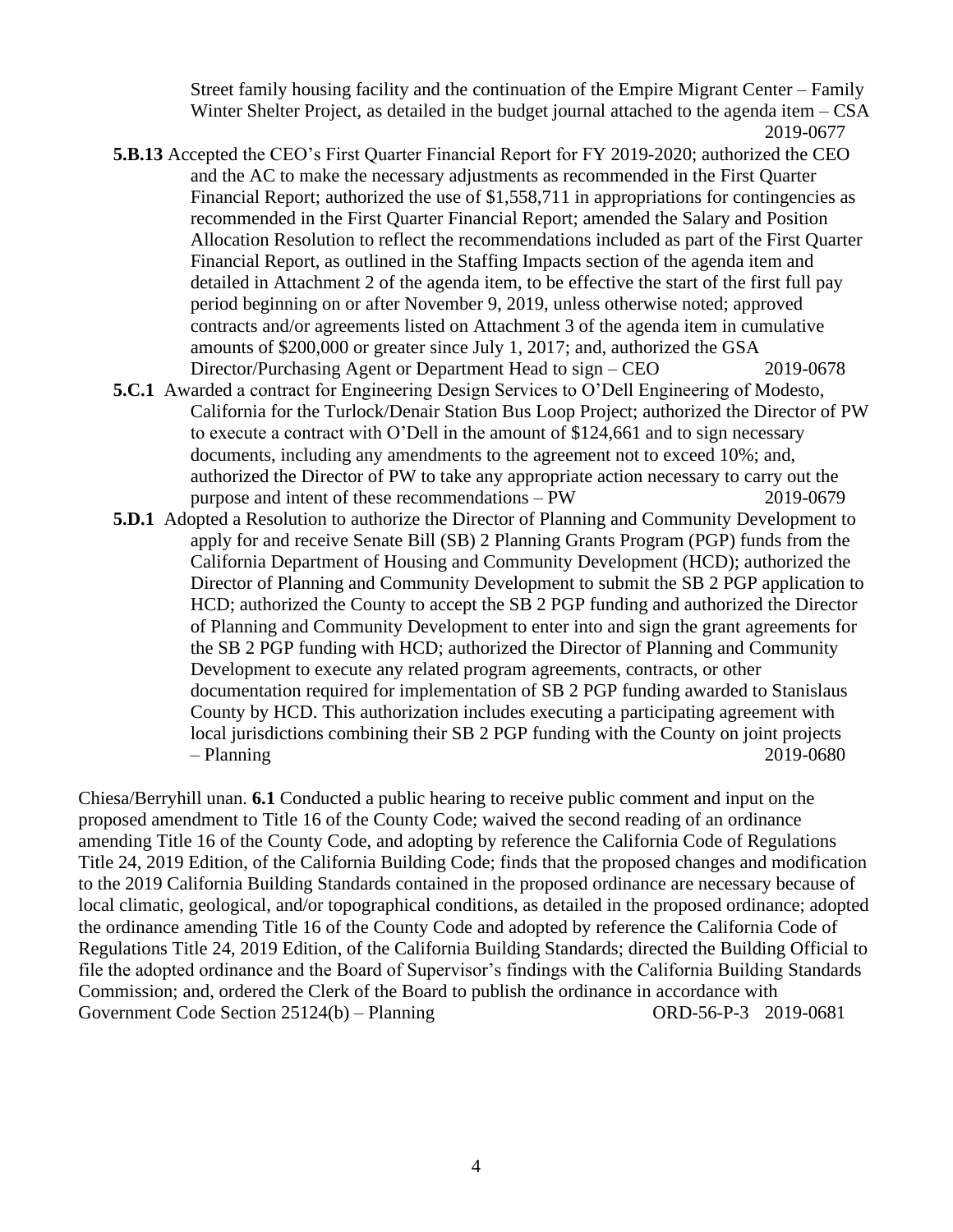Street family housing facility and the continuation of the Empire Migrant Center – Family Winter Shelter Project, as detailed in the budget journal attached to the agenda item – CSA 2019-0677

- **5.B.13** Accepted the CEO's First Quarter Financial Report for FY 2019-2020; authorized the CEO and the AC to make the necessary adjustments as recommended in the First Quarter Financial Report; authorized the use of \$1,558,711 in appropriations for contingencies as recommended in the First Quarter Financial Report; amended the Salary and Position Allocation Resolution to reflect the recommendations included as part of the First Quarter Financial Report, as outlined in the Staffing Impacts section of the agenda item and detailed in Attachment 2 of the agenda item, to be effective the start of the first full pay period beginning on or after November 9, 2019, unless otherwise noted; approved contracts and/or agreements listed on Attachment 3 of the agenda item in cumulative amounts of \$200,000 or greater since July 1, 2017; and, authorized the GSA Director/Purchasing Agent or Department Head to sign – CEO 2019-0678
- **5.C.1** Awarded a contract for Engineering Design Services to O'Dell Engineering of Modesto, California for the Turlock/Denair Station Bus Loop Project; authorized the Director of PW to execute a contract with O'Dell in the amount of \$124,661 and to sign necessary documents, including any amendments to the agreement not to exceed 10%; and, authorized the Director of PW to take any appropriate action necessary to carry out the purpose and intent of these recommendations – PW 2019-0679
- **5.D.1** Adopted a Resolution to authorize the Director of Planning and Community Development to apply for and receive Senate Bill (SB) 2 Planning Grants Program (PGP) funds from the California Department of Housing and Community Development (HCD); authorized the Director of Planning and Community Development to submit the SB 2 PGP application to HCD; authorized the County to accept the SB 2 PGP funding and authorized the Director of Planning and Community Development to enter into and sign the grant agreements for the SB 2 PGP funding with HCD; authorized the Director of Planning and Community Development to execute any related program agreements, contracts, or other documentation required for implementation of SB 2 PGP funding awarded to Stanislaus County by HCD. This authorization includes executing a participating agreement with local jurisdictions combining their SB 2 PGP funding with the County on joint projects – Planning 2019-0680

Chiesa/Berryhill unan. **6.1** Conducted a public hearing to receive public comment and input on the proposed amendment to Title 16 of the County Code; waived the second reading of an ordinance amending Title 16 of the County Code, and adopting by reference the California Code of Regulations Title 24, 2019 Edition, of the California Building Code; finds that the proposed changes and modification to the 2019 California Building Standards contained in the proposed ordinance are necessary because of local climatic, geological, and/or topographical conditions, as detailed in the proposed ordinance; adopted the ordinance amending Title 16 of the County Code and adopted by reference the California Code of Regulations Title 24, 2019 Edition, of the California Building Standards; directed the Building Official to file the adopted ordinance and the Board of Supervisor's findings with the California Building Standards Commission; and, ordered the Clerk of the Board to publish the ordinance in accordance with Government Code Section 25124(b) – Planning ORD-56-P-3 2019-0681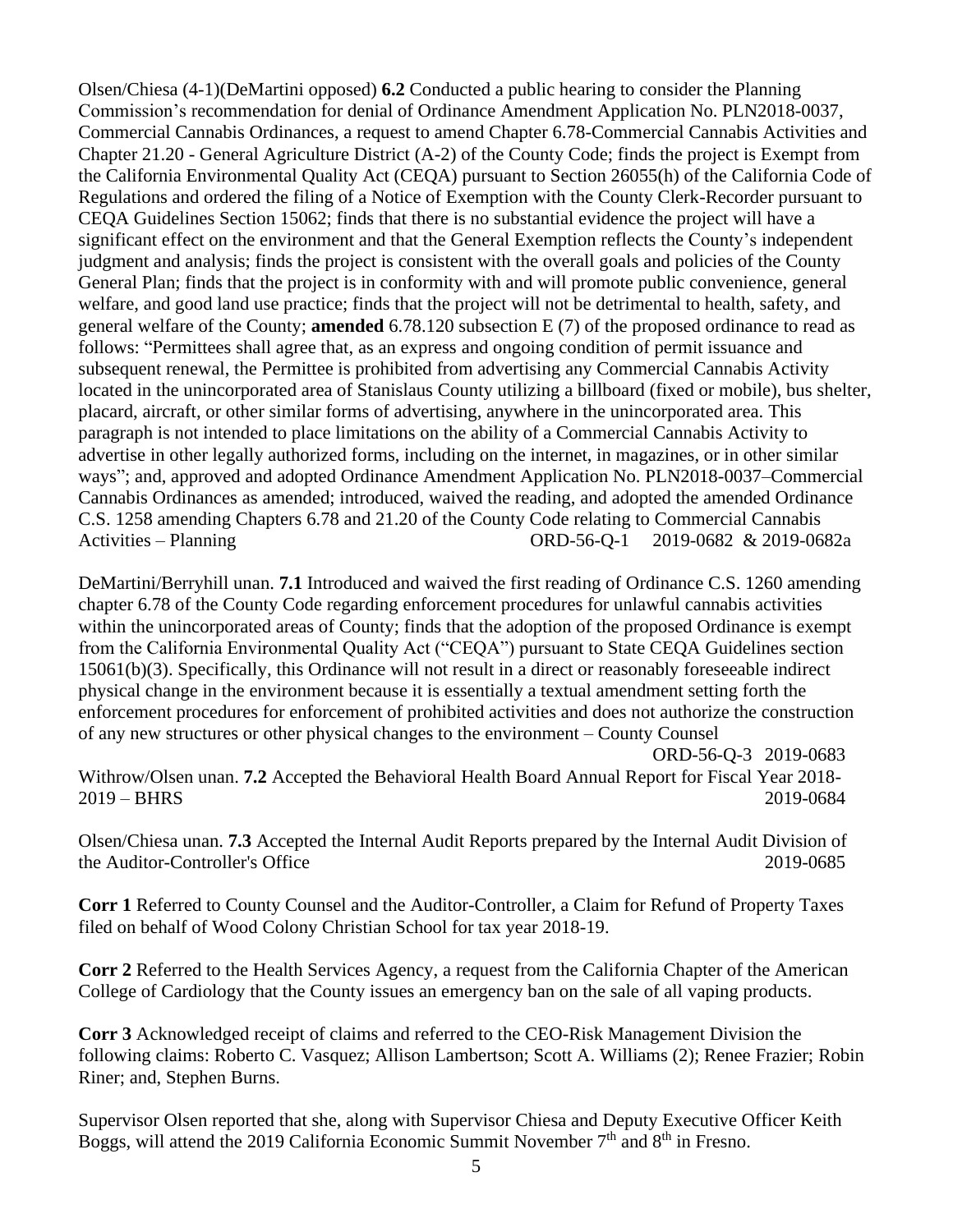Olsen/Chiesa (4-1)(DeMartini opposed) **6.2** Conducted a public hearing to consider the Planning Commission's recommendation for denial of Ordinance Amendment Application No. PLN2018-0037, Commercial Cannabis Ordinances, a request to amend Chapter 6.78-Commercial Cannabis Activities and Chapter 21.20 - General Agriculture District (A-2) of the County Code; finds the project is Exempt from the California Environmental Quality Act (CEQA) pursuant to Section 26055(h) of the California Code of Regulations and ordered the filing of a Notice of Exemption with the County Clerk-Recorder pursuant to CEQA Guidelines Section 15062; finds that there is no substantial evidence the project will have a significant effect on the environment and that the General Exemption reflects the County's independent judgment and analysis; finds the project is consistent with the overall goals and policies of the County General Plan; finds that the project is in conformity with and will promote public convenience, general welfare, and good land use practice; finds that the project will not be detrimental to health, safety, and general welfare of the County; **amended** 6.78.120 subsection E (7) of the proposed ordinance to read as follows: "Permittees shall agree that, as an express and ongoing condition of permit issuance and subsequent renewal, the Permittee is prohibited from advertising any Commercial Cannabis Activity located in the unincorporated area of Stanislaus County utilizing a billboard (fixed or mobile), bus shelter, placard, aircraft, or other similar forms of advertising, anywhere in the unincorporated area. This paragraph is not intended to place limitations on the ability of a Commercial Cannabis Activity to advertise in other legally authorized forms, including on the internet, in magazines, or in other similar ways"; and, approved and adopted Ordinance Amendment Application No. PLN2018-0037–Commercial Cannabis Ordinances as amended; introduced, waived the reading, and adopted the amended Ordinance C.S. 1258 amending Chapters 6.78 and 21.20 of the County Code relating to Commercial Cannabis Activities – Planning ORD-56-Q-1 2019-0682 & 2019-0682a

DeMartini/Berryhill unan. **7.1** Introduced and waived the first reading of Ordinance C.S. 1260 amending chapter 6.78 of the County Code regarding enforcement procedures for unlawful cannabis activities within the unincorporated areas of County; finds that the adoption of the proposed Ordinance is exempt from the California Environmental Quality Act ("CEQA") pursuant to State CEQA Guidelines section 15061(b)(3). Specifically, this Ordinance will not result in a direct or reasonably foreseeable indirect physical change in the environment because it is essentially a textual amendment setting forth the enforcement procedures for enforcement of prohibited activities and does not authorize the construction of any new structures or other physical changes to the environment – County Counsel

ORD-56-Q-3 2019-0683 Withrow/Olsen unan. **7.2** Accepted the Behavioral Health Board Annual Report for Fiscal Year 2018- 2019 – BHRS 2019-0684

Olsen/Chiesa unan. **7.3** Accepted the Internal Audit Reports prepared by the Internal Audit Division of the Auditor-Controller's Office 2019-0685

**Corr 1** Referred to County Counsel and the Auditor-Controller, a Claim for Refund of Property Taxes filed on behalf of Wood Colony Christian School for tax year 2018-19.

**Corr 2** Referred to the Health Services Agency, a request from the California Chapter of the American College of Cardiology that the County issues an emergency ban on the sale of all vaping products.

**Corr 3** Acknowledged receipt of claims and referred to the CEO-Risk Management Division the following claims: Roberto C. Vasquez; Allison Lambertson; Scott A. Williams (2); Renee Frazier; Robin Riner; and, Stephen Burns.

Supervisor Olsen reported that she, along with Supervisor Chiesa and Deputy Executive Officer Keith Boggs, will attend the 2019 California Economic Summit November  $7<sup>th</sup>$  and  $8<sup>th</sup>$  in Fresno.